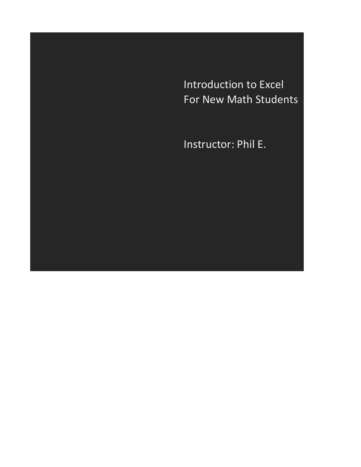Introduction to Excel For New Math Students

Instructor: Phil E.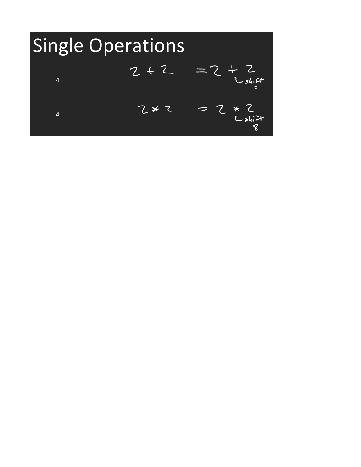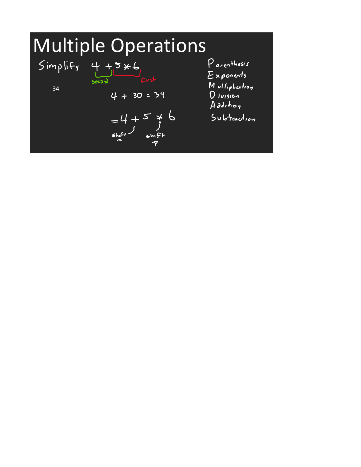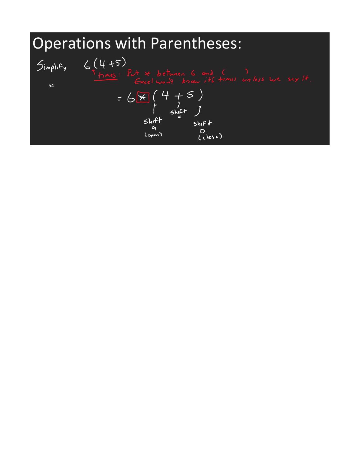Operations with Parentheses:  $6(4+5)$  $Simplif'$ I times: 54 $=6\frac{\times}{\times}\begin{pmatrix}4+5\\ 1\\ 6\frac{1}{2}\end{pmatrix}$ <br>
shift<br>
shift<br>
shift<br>
shift<br>
shift<br>
shift<br>
(  $5h$ <sub>1</sub> $f$  $f$  $O$ <br>(close)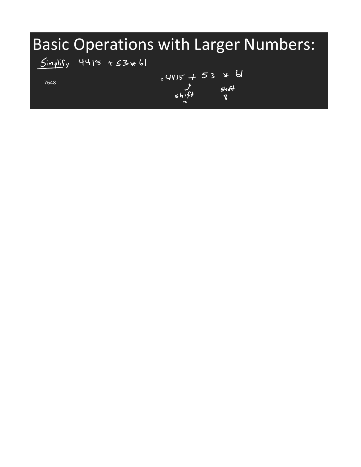#### Basic Operations with Larger Numbers:

#### $Simplify$  4415 +53 \* 61

7648

 $4415 + 53 * 6$  $3 + 3 - 5$ <br> $3 + 16$ <br> $5 + 16$ <br> $8$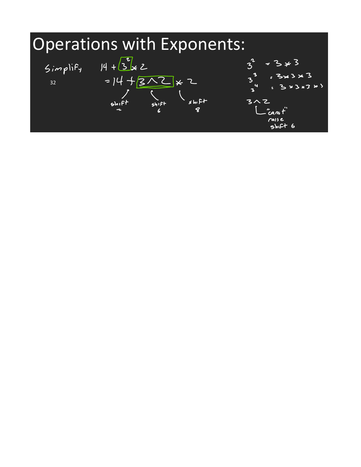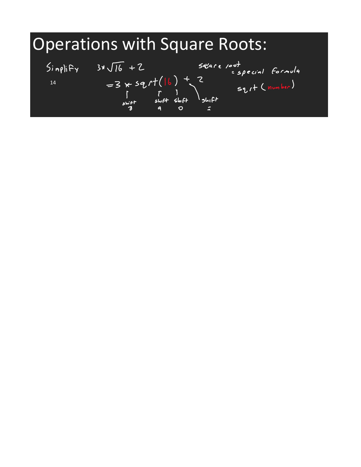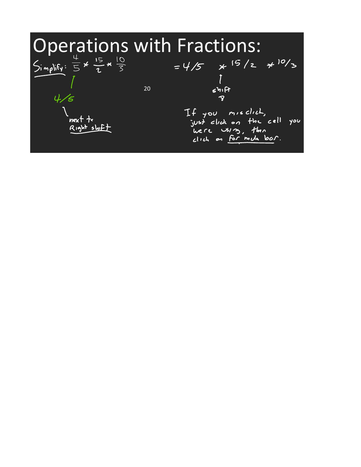| <b>Operations with Fractions:</b>                               |    |                                                                          |  |
|-----------------------------------------------------------------|----|--------------------------------------------------------------------------|--|
| $Simplify: \frac{4}{5} \times \frac{15}{2} \times \frac{10}{3}$ |    | $=4/5$ $\times$ 15/2 $\times$ 10/3                                       |  |
|                                                                 | 20 | 540                                                                      |  |
|                                                                 |    |                                                                          |  |
| next to<br>Right shift                                          |    | If you misclich,<br>just click on the cell you<br>clich on for mida bor. |  |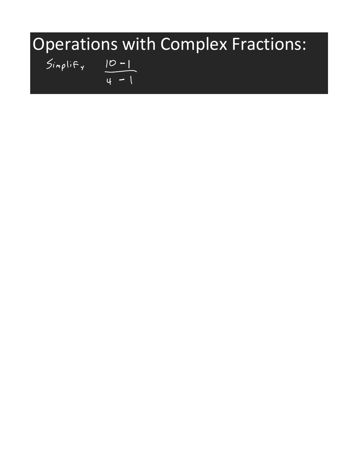# Operations with Complex Fractions:<br>  $S_{inp}$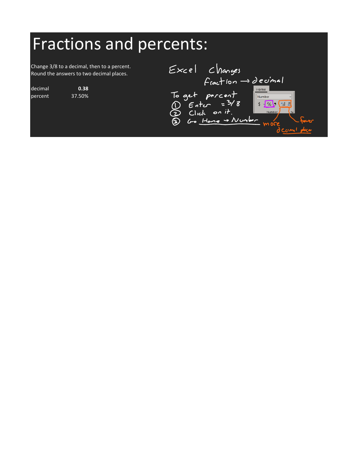### Fractions and percents:

Change 3/8 to a decimal, then to a percent. Round the answers to two decimal places.

decimal **0.38** percent 37.50%

| Excel Changes                                                                       |
|-------------------------------------------------------------------------------------|
| $F$ caction $\rightarrow$ decimal                                                   |
| Home<br>To get porcent<br>(i) $EntC = 38$<br>2 Click on it.<br>$60 - 11000 - 11000$ |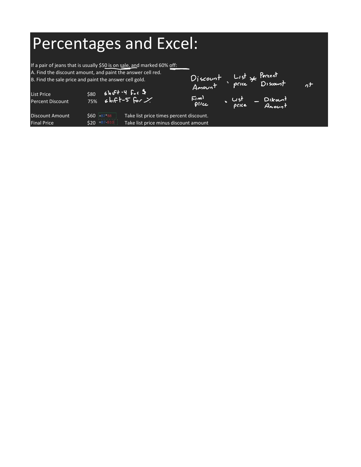#### Percentages and Excel:

If a pair of jeans that is usually \$50 is on sale, and marked 60% off:

A. Find the discount amount, and paint the answer cell red. Discount List & Percent<br>Amount price Discount B. Find the sale price and paint the answer cell gold.  $n^{+}$  $shFf - 4$  for  $\frac{4}{3}$ List Price \$80<br>Percent Discount 75%  $\mathbb{E}[m]$  $\sqrt{u}$  $shff-5$  for  $X$  $\overline{\phantom{a}}$  Discount Percent Discount pilce price Amount Discount Amount  $\frac{1}{560}$  =B7\*B8 Take list price times percent discount. Final Price  $$20$   $\frac{|=B7-B10|}{ }$  Take list price minus discount amount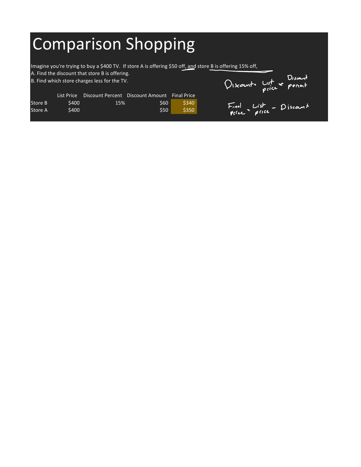## Comparison Shopping

Imagine you're trying to buy a \$400 TV. If store A is offering \$50 off, and store B is offering 15% off,

A. Find the discount that store B is offering.

B. Find which store charges less for the TV.

Discounte List \* Percent Final List - Discount

|         | List Price | Discount Percent Discount Amount |            | <b>Final Price</b> |
|---------|------------|----------------------------------|------------|--------------------|
| Store B | \$400.     | 15%                              | <b>S60</b> | S340               |
| Store A | \$400      |                                  | \$50       | S350               |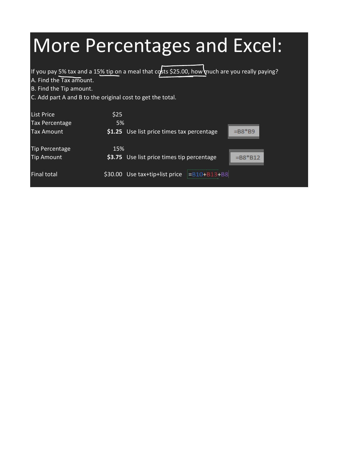#### More Percentages and Excel: If you pay 5% tax and a 15% tip on a meal that  $\cos$ ts \$25.00, how much are you really paying? A. Find the Tax amount. B. Find the Tip amount. C. Add part  $A$  and B to the original cost to get the total. List Price \$25 Tax Percentage 5% Tax Amount **\$1.25** Use list price times tax percentage  $=$ B8<sup>\*</sup>B9 Tip Percentage 15% Tip Amount **\$3.75** Use list price times tip percentage  $= B8*B12$ Final total  $$30.00$  Use tax+tip+list price  $\vert$ =B10+B13+B8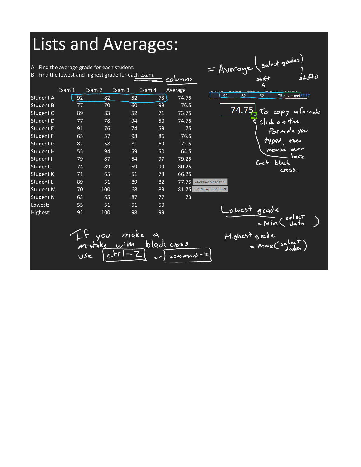#### Lists and Averages:

A. Find the average grade for each student.

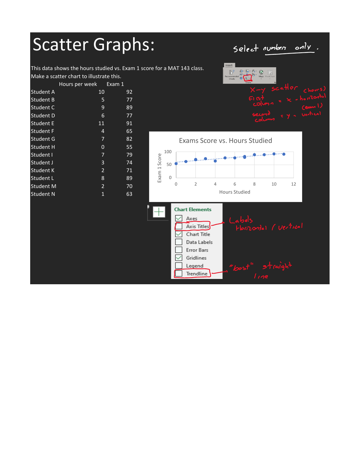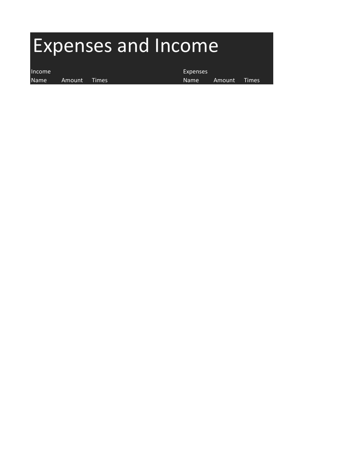# Expenses and Income

Name Amount Times **Name** Amount Times

Income Expenses and the expenses of the expenses of the expenses of the expenses of the expenses of the expenses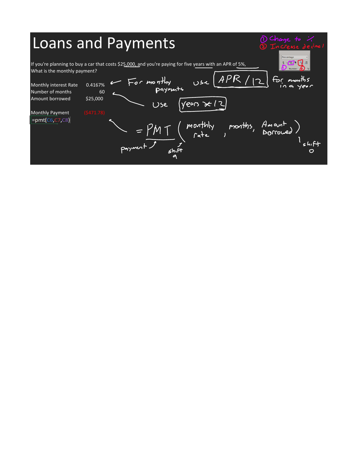